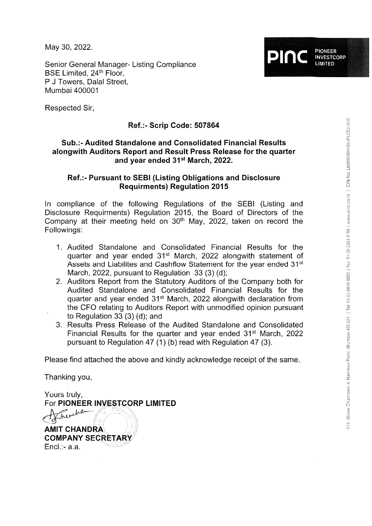May 30, 2022

Senior General Manager- Listing Compliance BSE Limited, 24<sup>th</sup> Floor, P J Towers, Dalal Street, Mumbai 400001

Respected Sir,

# Ref.:- Scrip Code: <sup>507864</sup>

## Sub.:- Audited Standalone and Consolidated Financial Results alongwith Auditors Report and Result Press Release for the quarter and year ended 31st March,2022.

## Ref.:- Pursuant to SEBI (Listing Obligations and Disclosure Requirments) Regulation 2015

ln compliance of the following Regulations of the SEBI (Listing and Disclosure Requirments) Regulation 2015, the Board of Directors of the Company at their meeting held on 30<sup>th</sup> May, 2022, taken on record the Followings:

- 1. Audited Standalone and Consolidated Financial Results for the quarter and year ended 31<sup>st</sup> March, 2022 alongwith statement of Assets and Liabilites and Cashflow Statement for the year ended 31<sup>st</sup> March, 2022, pursuant to Regulation 33 (3) (d);
- 2. Auditors Report from the Statutory Auditors of the Company both for Audited Standalone and Consolidated Financial Results for the quarter and year ended 31<sup>st</sup> March, 2022 alongwith declaration from the CFO relating to Auditors Report with unmodified opinion pursuant to Regulation 33 (3) (d); and
- 3. Results Press Release of the Audited Standalone and Consolidated Financial Results for the quarter and year ended  $31<sup>st</sup>$  March, 2022 pursuant to Regulation 47 (1) (b) read with Regulation 47 (3).

Please find attached the above and kindly acknowledge receipt of the same.

Thanking you,

Yours truly, For PIONEER INVESTCORP LIMITED

**AMIT CHANDRA COMPANY SECRETARY** Encl.:- a.a.

PIONEER<br>INVESTCORP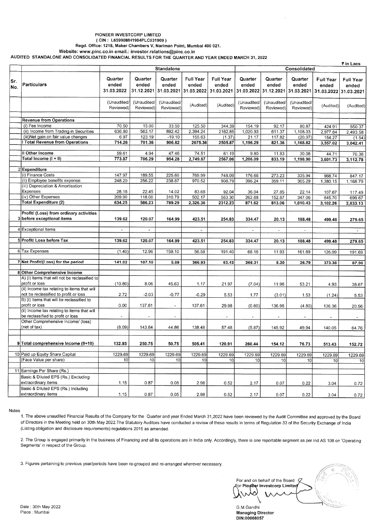#### PIONEER INVESTCORP LIMITED

#### ( CIN : L65990MH1984PLC031909 )

Regd. Office: 1218, Maker Chambers V, Narlman Polnt, Mumbal 400 021. Website: www.pinc.co.in email.: investor.relations@pinc.co.in

AUDITED STANDALONE AND CONSOLIDATED FINANCIAL RESULTS FOR THE QUARTER AND YEAR ENDED MARCH 31,2022

|            |                                                                 |                                |                          |                          |                           |                                                                                                                                 |                          |                          |                          |                    | ₹ in Lacs          |
|------------|-----------------------------------------------------------------|--------------------------------|--------------------------|--------------------------|---------------------------|---------------------------------------------------------------------------------------------------------------------------------|--------------------------|--------------------------|--------------------------|--------------------|--------------------|
|            |                                                                 |                                |                          | <b>Standalone</b>        |                           |                                                                                                                                 | Consolidated             |                          |                          |                    |                    |
| Sr.<br>No. | Particulars                                                     | Quarter<br>ended<br>31.03.2022 | Quarter<br>ended         | Quarter<br>ended         | <b>Full Year</b><br>ended | <b>Full Year</b><br>ended<br>31.12.2021 31.03.2021 31.03.2022 31.03.2021 31.03.2022 31.12.2021 31.03.2021 31.03.2022 31.03.2021 | Quarter<br>ended         | Quarter<br>ended         | Quarter<br>ended         | Full Year<br>ended | Full Year<br>ended |
|            |                                                                 | (Unaudited/<br>Reviewed)       | (Unaudited/<br>Reviewed) | (Unaudited/<br>Reviewed) | (Audited)                 | (Audited)                                                                                                                       | (Unaudited/<br>Reviewed) | (Unaudited/<br>Reviewed) | (Unaudited/<br>Reviewed) | (Audited)          | (Audited)          |
|            | <b>Revenue from Operations</b>                                  |                                |                          |                          |                           |                                                                                                                                 |                          |                          |                          |                    |                    |
|            | (i) Fee Income                                                  | 70.50                          | 15.00                    | 33.50                    | 125.50                    | 344.39                                                                                                                          | 154.19                   | 92.17                    | 80.87                    | 424.91             | 550.37             |
|            | (ii) Income from Trading in Securities                          | 636.80                         | 563.17                   | 892.42                   | 2,394.24                  | 2162.85                                                                                                                         | 1,020.93                 | 611.37                   | 1,108.03                 | 2,977.84           | 2,493.58           |
|            | (iii)Net gain on fair value changes                             | 6.97                           | 123.19                   | $-19.10$                 | 155.63                    | (1.37)                                                                                                                          | 21.17                    | 117.82                   | (20.07)                  | 154.27             | (1.54)             |
|            | Total Revenue from Operations                                   | 714.26                         | 701.36                   | 906.82                   | 2675.36                   | 2505.87                                                                                                                         | 1,196.29                 | 821.36                   | 1,168.82                 | 3,557.02           | 3,042.41           |
|            |                                                                 |                                |                          |                          |                           |                                                                                                                                 |                          |                          |                          |                    |                    |
|            | II Other Income                                                 | 59.61                          | 4.94                     | 47.46                    | 74.51                     | 61.19                                                                                                                           | 9.80                     | 11.83                    | 30.08                    | 44.71              | 70.36              |
|            | Total Income (I + II)                                           | 773.87                         | 706.29                   | 954.28                   | 2,749.87                  | 2567.06                                                                                                                         | 1,206.09                 | 833.19                   | 1,198.90                 | 3,601.73           | 3,112.78           |
|            |                                                                 |                                |                          |                          |                           |                                                                                                                                 |                          |                          |                          |                    |                    |
|            | 2 Expenditure<br>(i) Finance Costs                              |                                |                          |                          |                           |                                                                                                                                 |                          |                          |                          |                    |                    |
|            | (ii) Employee benefits expense                                  | 147.97<br>248.20               | 189.55<br>256.22         | 225.60<br>238.87         | 769.99<br>970.52          | 748.09                                                                                                                          | 176.66                   | 273.23                   | 335.94                   | 968.74             | 847.17             |
|            | (iii) Depreciation & Amortisation                               |                                |                          |                          |                           | 908.79                                                                                                                          | 396.24                   | 359.11                   | 305.29                   | 1,380.15           | 1,168.79           |
|            | Expenses                                                        | 28.18                          | 22.45                    | 14.02                    | 83.68                     | 92.04                                                                                                                           | 36.04                    | 27.85                    | 22.14                    | 107.67             | 117.49             |
|            | (iv) Other Expenses                                             | 209.90                         | 118.00                   | 310.79                   | 502.17                    | 563.30                                                                                                                          | 262.68                   | 152.87                   | 347.06                   | 645.70             | 699.67             |
|            | <b>Total Expenditure (2)</b>                                    | 634.25                         | 586.23                   | 789.29                   | 2,326.36                  | 2312.23                                                                                                                         | 871.62                   | 813.06                   | 1,010.43                 | 3,102.26           | 2,833.13           |
|            |                                                                 |                                |                          |                          |                           |                                                                                                                                 |                          |                          |                          |                    |                    |
|            | Profit/ (Loss) from ordinary activities                         |                                |                          |                          |                           |                                                                                                                                 |                          |                          |                          |                    |                    |
|            | 3 before exceptional items                                      | 139.62                         | 120.07                   | 164.99                   | 423.51                    | 254.83                                                                                                                          | 334.47                   | 20.13                    | 188.48                   | 499.48             | 279.65             |
|            |                                                                 |                                |                          |                          |                           |                                                                                                                                 |                          |                          |                          |                    |                    |
|            | 4 Exceptional Items                                             |                                |                          |                          | $\blacksquare$            |                                                                                                                                 | $\sim$                   | $\sim$                   | $\blacksquare$           |                    | $\sim$             |
|            | 5 Profit/ Loss before Tax                                       | 139.62                         | 120.07                   | 164.99                   | 423.51                    | 254.83                                                                                                                          | 334.47                   | 20.13                    | 188.48                   | 499.48             | 279.65             |
|            |                                                                 |                                |                          |                          |                           |                                                                                                                                 |                          |                          |                          |                    |                    |
|            | 6 Tax Expenses                                                  | (1.40)                         | 12.96                    | 159.10                   | 56.58                     | 191.40                                                                                                                          | 68.16                    | 11.93                    | 161.69                   | 126.09             | 191.69             |
|            |                                                                 |                                |                          |                          |                           |                                                                                                                                 |                          |                          |                          |                    |                    |
|            | 7 Net Profit/(Loss) for the period                              | 141.02                         | 107.10                   | 5.89                     | 366.93                    | 63.43                                                                                                                           | 266.31                   | 8.20                     | 26.79                    | 373.38             | 87.96              |
|            |                                                                 |                                |                          |                          |                           |                                                                                                                                 |                          |                          |                          |                    |                    |
|            | 8 Other Comprehensive Income                                    |                                |                          |                          |                           |                                                                                                                                 |                          |                          |                          |                    |                    |
|            | A) (i) Items that will not be reclassified to<br>profit or loss | (10.80)                        | 8.06                     | 45.63                    | 1.17                      | 21.97                                                                                                                           | (7.04)                   | 11.96                    | 53.21                    | 4.93               | 38.67              |
|            | (ii) Income tax relating to items that will                     |                                |                          |                          |                           |                                                                                                                                 |                          |                          |                          |                    |                    |
|            | not be reclassified to profit or loss                           | 2.72                           | $-2.03$                  | $-0.77$                  | $-0.29$                   | 5.53                                                                                                                            | 1.77                     | (3.01)                   | 1.53                     | (1.24)             | 5.53               |
|            | B) (i) Items that will be reclassified to                       |                                |                          |                          |                           |                                                                                                                                 |                          |                          |                          |                    |                    |
|            | profit or loss                                                  | 0.00                           | 137.61                   | $\tilde{\phantom{a}}$    | 137.61                    | 29.98                                                                                                                           | (0.60)                   | 136.96                   | (4.80)                   | 136.36             | 20.56              |
|            | (ii) Income tax relating to items that will                     |                                |                          |                          |                           |                                                                                                                                 |                          |                          |                          |                    |                    |
|            | be reclassified to profit or loss                               | $\ddot{\phantom{a}}$           | $\blacksquare$           | ٠                        |                           | $\ddot{\phantom{a}}$                                                                                                            | $\bullet$                | $\tilde{\phantom{a}}$    | $\blacksquare$           |                    |                    |
|            | Other Comprehensive Income/ (loss)<br>(net of tax)              | (8.09)                         | 143.64                   | 44.86                    | 138.48                    |                                                                                                                                 |                          |                          |                          |                    |                    |
|            |                                                                 |                                |                          |                          |                           | 57.48                                                                                                                           | (5.87)                   | 145.92                   | 49.94                    | 140.05             | 64.76              |
|            |                                                                 |                                |                          |                          |                           |                                                                                                                                 |                          |                          |                          |                    |                    |
|            | 9 Total comprehensive Income (9+10)                             | 132.93                         | 250.75                   | 50.75                    | 505.41                    | 120.91                                                                                                                          | 260.44                   | 154.12                   | 76.73                    | 513.43             | 152.72             |
|            |                                                                 |                                |                          |                          |                           |                                                                                                                                 |                          |                          |                          |                    |                    |
|            | 10 Paid up Equity Share Capital                                 | 1229.69                        | 1229.69                  | 1229.69                  | 1229.69                   | 1229.69                                                                                                                         | 1229.69                  | 1229.69                  | 1229.69                  | 1229.69            | 1229.69            |
|            | (Face Value per share)                                          | 10                             | 10                       | 10                       | 10 <sup>1</sup>           | 10 <sup>1</sup>                                                                                                                 | 10 <sup>1</sup>          | 10                       | 10 <sub>l</sub>          | 10 <sup>1</sup>    | 10                 |
|            |                                                                 |                                |                          |                          |                           |                                                                                                                                 |                          |                          |                          |                    |                    |
|            | 11 Earnings Per Share (Rs.)                                     |                                |                          |                          |                           |                                                                                                                                 |                          |                          |                          |                    |                    |
|            | Basic & Diluted EPS (Rs.) Excluding                             |                                |                          |                          |                           |                                                                                                                                 |                          |                          |                          |                    |                    |
|            | extraordinary items                                             | 1.15                           | 0.87                     | 0.05                     | 2.98                      | 0.52                                                                                                                            | 2.17                     | 0.07                     | 0.22                     | 3.04               | 0.72               |
|            | Basic & Diluted EPS (Rs.) Including<br>extraordinary items      |                                |                          |                          |                           |                                                                                                                                 |                          |                          |                          |                    |                    |
|            |                                                                 | 1.15                           | 0.87                     | 0.05                     | 2.98                      | 0.52                                                                                                                            | 2.17                     | 0.07                     | 0.22                     | 3.04               | 0.72               |

#### Notes

<sup>1</sup>. The above unaudited Financial Results of the Company for the Quarter and year Ended March <sup>31</sup>,2022 have been reviewed by the Audit Committee and approved by the Board of Directors in the Meeting held on 30th May 2022.The Statutory Auditors have conducted a review of these results in terms of Regulation 33 of the Security Exchange of lndia (Listing obligation and disclosure requirements) regulations 2015 as amended.

2. The Group is engaged primarily in the business of Financing and all its operations are in India only. Accordingly, there is one reportable segment as per Ind AS 108 on 'Operating Segments' in respect of the Group.

3, Figures pertaining to previous year/periods have been re-grouped and re-arranged wherever necessary

r"  $^{\circ}$ .'r' <sup>t</sup> For and on behalf of the Board or Pioneer Investcorp Limited

G.M.Gandhi Managing Director DIN:00008057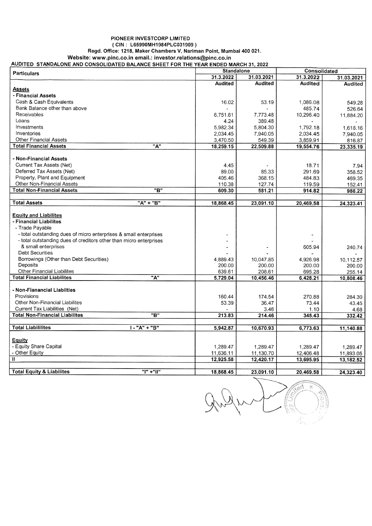## PIONEER INVESTCORP LIMITED ( CIN : L65990MH1984PLC031909 )

Regd. Office: 1218, Maker Chambers V, Nariman Point, Mumbai 400 <sup>021</sup>

Website: www.pinc.co.in email.: investor.relations@pinc.co.in

| <b>Particulars</b>                                                                   | <b>Standalone</b> |                |                |           | Consolidated     |  |  |
|--------------------------------------------------------------------------------------|-------------------|----------------|----------------|-----------|------------------|--|--|
|                                                                                      |                   | 31.3.2022      | 31.03.2021     | 31.3.2022 | 31.03.2021       |  |  |
|                                                                                      |                   | <b>Audited</b> | <b>Audited</b> | Audited   | Audited          |  |  |
| <u>Assets</u>                                                                        |                   |                |                |           |                  |  |  |
| - Financial Assets                                                                   |                   |                |                |           |                  |  |  |
| Cash & Cash Equivalents                                                              |                   | 16.02          | 53.19          | 1.086.08  | 549.28           |  |  |
| Bank Balance other than above                                                        |                   |                |                | 485.74    | 526.64           |  |  |
| Receivables                                                                          |                   | 6,751.61       | 7,773.48       | 10,296.40 | 11,884.20        |  |  |
| Loans                                                                                |                   | 4.24           | 389.48         |           |                  |  |  |
| Investments                                                                          |                   | 5.982.34       | 5.804.30       | 1,792.18  | 1,618.16         |  |  |
| Inventories                                                                          |                   | 2,034.45       | 7,940.05       | 2,034.45  | 7,940.05         |  |  |
| Other Financial Assets                                                               |                   | 3,470.50       | 549.39         | 3,859.91  | 816.87           |  |  |
| <b>Total Financial Assets</b>                                                        | "A"               | 18,259.15      | 22,509.88      | 19,554.76 | 23,335.19        |  |  |
|                                                                                      |                   |                |                |           |                  |  |  |
| - Non-Financial Assets                                                               |                   |                |                |           |                  |  |  |
| Current Tax Assets (Net)                                                             |                   | 4.45           |                | 18.71     | 7.94             |  |  |
| Deferred Tax Assets (Net)                                                            |                   | 89.00          | 85.33          | 291.69    | 358.52           |  |  |
| Property, Plant and Equipment                                                        |                   | 405.46         | 368.15         | 484.83    | 469.35           |  |  |
| Other Non-Financial Assets                                                           |                   | 110.38         | 127.74         | 119.59    | 152.41           |  |  |
| <b>Total Non-Financial Assets</b>                                                    | "B"               | 609.30         | 581.21         | 914.82    | 988.22           |  |  |
|                                                                                      |                   |                |                |           |                  |  |  |
| <b>Total Assets</b>                                                                  | "A" + "B"         | 18,868.45      | 23,091.10      | 20,469.58 | 24,323.41        |  |  |
| <b>Equity and Liabilites</b><br>- Financial Liabilites                               |                   |                |                |           |                  |  |  |
| - Trade Payable<br>- total outstanding dues of micro enterprises & small enterprises |                   |                |                |           |                  |  |  |
| - total outstanding dues of creditors other than micro enterprises                   |                   |                |                |           |                  |  |  |
| & small enterprises                                                                  |                   |                |                | 605.94    |                  |  |  |
| <b>Debt Securities</b>                                                               |                   |                |                |           | 240.74           |  |  |
| Borrowings (Other than Debt Securities)                                              |                   | 4,889.43       | 10,047.85      | 4,926.98  |                  |  |  |
| Deposits                                                                             |                   | 200.00         | 200.00         | 200.00    | 10,112.57        |  |  |
| Other Financial Liabilites                                                           |                   | 639.61         | 208.61         | 695.28    | 200.00<br>255.14 |  |  |
| <b>Total Financial Liabilites</b>                                                    | $\overline{A''}$  | 5,729.04       | 10.456.46      | 6,428.21  | 10,808.46        |  |  |
|                                                                                      |                   |                |                |           |                  |  |  |
| - Non-Fianancial Liabilties                                                          |                   |                |                |           |                  |  |  |
| Provisions                                                                           |                   | 160.44         | 174.54         | 270.88    | 284.30           |  |  |
| <b>Other Non-Financial Liabilites</b>                                                |                   | 53.39          | 36.47          | 73.44     | 43.45            |  |  |
| Current Tax Liabilities (Net)                                                        |                   |                | 3.46           | 1.10      | 4.68             |  |  |
| <b>Total Non-Financial Liabilites</b>                                                | "B"               | 213.83         | 214.46         | 345.43    | 332.42           |  |  |
|                                                                                      |                   |                |                |           |                  |  |  |
| <b>Total Liabililites</b>                                                            | $1 - "A" + "B"$   | 5,942.87       | 10,670.93      | 6,773.63  | 11,140.88        |  |  |
|                                                                                      |                   |                |                |           |                  |  |  |
| Equity                                                                               |                   |                |                |           |                  |  |  |
| - Equity Share Capital                                                               |                   | 1,289.47       | 1,289.47       | 1,289.47  | 1,289.47         |  |  |
| - Other Equity                                                                       |                   | 11,636.11      | 11,130.70      | 12,406.48 | 11,893.05        |  |  |
| Ш                                                                                    |                   | 12,925.58      | 12,420.17      | 13,695.95 | 13,182.52        |  |  |
|                                                                                      |                   |                |                |           |                  |  |  |
| <b>Total Equity &amp; Liabilites</b>                                                 | "l" +"ll"         | 18,868.45      | 23,091.10      | 20,469.58 | 24,323.40        |  |  |

6Î  $\frac{1}{\sqrt{2}}$ 3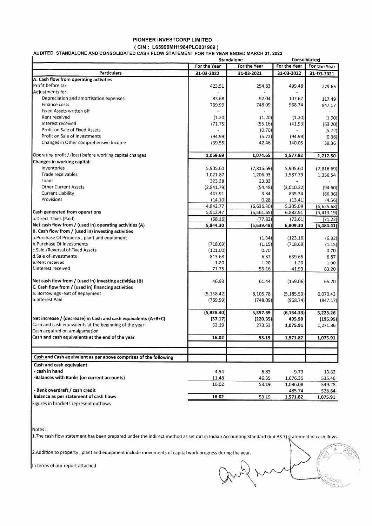# PIONEER INVESTCORP LIMITED

( CIN : L65990MH1984PLC031909 )<br>AUDITED STANDALONE AND CONSOLIDATED CASH FLOW STATEMENT FOR THE YEAR ENDED MARCH 31, :

|                                                                  |              | Standalone   | Consolidated |              |
|------------------------------------------------------------------|--------------|--------------|--------------|--------------|
|                                                                  | For the Year | For the Year | For the Year | For the Year |
| <b>Particulars</b>                                               | 31-03-2022   | 31-03-2021   | 31-03-2022   | 31-03-2021   |
| A. Cash flow from operating activities                           |              |              |              |              |
| lProfit before tax                                               | 423.51       | 254.83       | 499.48       | 279.65       |
| Adiustments for:                                                 |              |              |              |              |
| Depreciation and amortisation expenses                           | 83.68        | 92.04        | 107.67       | 117.49       |
| Finance costs                                                    | 769.99       | 748.09       | 968.74       | 847.17       |
| Fixed Assets written off                                         |              |              |              |              |
| Rent received                                                    | (1.20)       | (1.20)       | (1.20)       | (1.90)       |
| Interest received                                                | (71.75)      | (55.16)      | (41.93)      | (63.20)      |
| Profit on Sale of Fixed Assets                                   |              | (0.70)       |              | (5.72)       |
| Profit on Sale of Investments                                    | (94.99)      | (5.72)       | (94.99)      | (0.36)       |
| Changes in Other comprehensive Income                            | (39.55)      | 42.46        | 140.05       | 39.36        |
| Operating profit / (loss) before working capital changes         | 1,069.69     | 1,074.65     | 1,577.82     | 1,212.50     |
| <b>Changes in working capital:</b>                               |              |              |              |              |
| Inventories                                                      | 5,905.60     | (7,816.69)   | 5,905.60     | (7,816.69)   |
| <b>Trade receivables</b>                                         | 1,021.87     | 1,206.93     | 1,587.79     | 1,356.54     |
| Loans                                                            | 323.28       | 23.83        |              |              |
| <b>Other Current Assets</b>                                      | (2,841.79)   | (54.48)      | (3,010.22)   | (94.60)      |
| Current Liability                                                | 447.91       | 3.84         | 835.34       | (66.36)      |
| Provisions                                                       | (14.10)      | 0.28         | (13.41)      | (4.56)       |
|                                                                  | 4,842.77     | (6,636.30)   | 5,305.09     | (6,625.68)   |
| Cash generated from operations                                   | 5,912.47     | (5,561.65)   | 6.882.91     | (5, 413.19)  |
| a.Direct Taxes (Paid)                                            | (68.16)      | (77.82)      | (73.61)      | (71.22)      |
| Net cash flow from / (used in) operating activities (A)          | 5,844.30     | (5,639.48)   | 6,809.30     | (5,484.41)   |
| B. Cash flow from / (used in) investing activities               |              |              |              |              |
| a.Purchase Of Property, plant and equipment                      |              | (1.34)       | (123.16)     | (6.32)       |
| b.Purchase Of Investments                                        | (718.69)     | (1.15)       | (718.69)     | (1.15)       |
| c.Sale /Reversal of Fixed Assets                                 | (121.00)     | 0.70         |              | 0.70         |
| d.Sale of Investments                                            | 813.68       | 6.87         | 639.65       | 6.87         |
| e.Rent received                                                  | 1.20         | 1.20         | 1.20         | 1.90         |
| f.Interest received                                              | 71.75        | 55.16        | 41.93        | 63.20        |
| Net cash flow from / (used in) investing activities (B)          | 46.93        | 61.44        | (159.06)     | 65.20        |
| C. Cash flow from / (used in) financing activities               |              |              |              |              |
| a. Borrowings -Net of Repayment                                  | (5, 158.42)  | 6,105.78     | (5, 185.59)  | 6,070.43     |
| b.Interest Paid                                                  | (769.99)     | (748.09)     | (968.74)     | (847.17)     |
|                                                                  | (5,928.40)   | 5,357.69     | (6, 154.33)  | 5,223.26     |
| Net increase / (decrease) in Cash and cash equivalents (A+B+C)   | (37.17)      | (220.35)     | 495.90       | (195.95)     |
| Cash and cash equivalents at the beginning of the year           | 53.19        | 273.53       | 1,075.91     | 1,271.86     |
| Cash acquired on amalgamation                                    |              |              |              |              |
| Cash and cash equivalents at the end of the year                 | 16.02        | 53.19        | 1,571.82     | 1,075.91     |
|                                                                  |              |              |              |              |
| Cash and Cash equivalent as per above comprises of the following |              |              |              |              |
| Cash and cash equivalent                                         |              |              |              |              |
| - cash in hand                                                   | 4.54         | 6.83         | 9.73         | 13.82        |
| -Balances with Banks (on current accounts)                       | 11.48        | 46.35        | 1,076.35     | 535.46       |
|                                                                  | 16.02        | 53.19        | 1,086.08     | 549.28       |
| - Bank overdraft / cash credit                                   |              |              | 485.74       | 526.64       |
| Balance as per statement of cash flows                           | 16.02        | 53.19        | 1,571.82     | 1,075.91     |
| Figures in brackets represent outflows                           |              |              |              |              |

Notes:

The cash flow statement has been prepared under the indirect method as set out in Indian Accounting Standard (Ind AS 7) statement of cash flows

+

rji

2. Addition to property, plant and equipment include movements of capital work progress during the year.

In terms of our report attached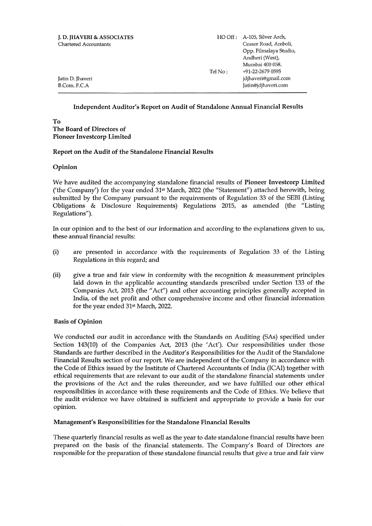| <b>I. D. IHAVERI &amp; ASSOCIATES</b><br>Chartered Accountants | Tel No: | HO Off : A-105. Silver Arch,<br>Ceaser Road, Amboli,<br>Opp. Filmalaya Studio,<br>Andheri (West),<br>Mumbai 400 058.<br>+91-22-2679 0595 |
|----------------------------------------------------------------|---------|------------------------------------------------------------------------------------------------------------------------------------------|
| Jatin D. Thaveri<br>B.Com. F.C.A                               |         | jdjhaveri@gmail.com<br>Jatin@jdjhaveri.com                                                                                               |

#### Independent Auditor's Report on Audit of Standalone Annual Financial Results

#### To The Board of Directors of Pioneer Investcorp Limited

#### Report on the Audit of the Standalone Financial Results

#### Opinion

We have audited the accompanying standalone financial results of Pioneer Investcorp Limited ('the Company') for the year ended 31<sup>st</sup> March, 2022 (the "Statement") attached herewith, being submitted by the Company pursuant to the requirements of Regulation 33 of the SEBI (Listing Obligations  $\&$  Disclosure Requirements) Regulations 2015, as amended (the "Listing Regulations").

In our opinion and to the best of our information and according to the explanations given to us, these annual financial results:

- (i) are presented in accordance with the requirements of Regulation 33 of the Listing Regulations in this regard; and
- (ii) give a true and fair view in conformity with the recognition & measurement principles laid down in the applicable accounting standards prescribed under Section 133 of the Companies Act, 2013 (the "Act'') and other accounting principles generally accepted in India, of the net profit and other comprehensive income and other financial information for the year ended 31<sup>st</sup> March, 2022.

#### Basis of Opinion

We conducted our audit in accordance with the Standards on Auditing (SAs) specified under Section 143(10) of the Companies Act, 2013 (the 'Act'). Our responsibilities under those Standards are further described in the Auditor's Responsibilities for the Audit of the Standalone Financial Results section of our report. We are independent of the Company in accordance with the Code of Ethics issued by the Institute of Chartered Accountants of India (ICAI) together with ethical requirements that are relevant to our audit of the standalone financial statements under the provisions of the Act and the rules thereunder, and we have fulfilled our other ethical responsibilities in accordance with these requirements and the Code of Ethics. We believe that the audit evidence we have obtained is sufficient and appropriate to provide a basis for our opinion.

#### Management's Responsibilities for the Standalone Financial Results

These quarterly financial results as well as the year to date standalone financial results have been prepared on the basis of the financial statements. The Company's Board of Directors are responsible for the preparation of these standalone financial results that give a true and fair view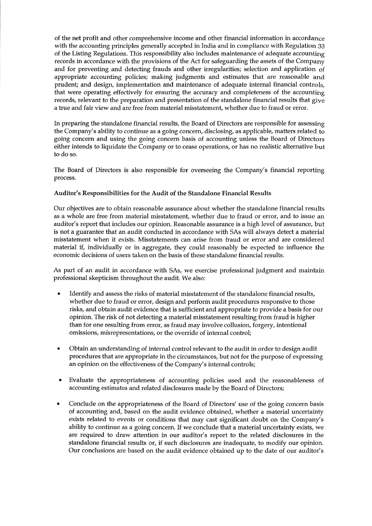of the net profit and other comprehensive income and other financial information in accordance with the accounting principles generally accepted in India and in compliance with Regulation <sup>33</sup> of the Listing Regulations. This responsibility also includes maintenance of adequate accounting records in accordance with the provisions of the Act for safeguarding the assets of the Company and for preventing and detecting frauds and other irregularities; selection and application of appropriate accounting policies; making judgments and estimates that are reasonable and prudent; and design, implementation and maintenance of adequate internal financial controls, that were operating effectively for ensuring the accuracy and completeness of the accounting records, relevant to the preparation and presentation of the standalone financial results that give <sup>a</sup>true and fair view and are free from material misstatement, whether due to fraud or error.

In preparing the standalone financial results, the Board of Directors are responsible for assessing the Company's ability to continue as a going concern, disclosing, as applicable, matters related to going concern and using the going concern basis of accounting unless the Board of Directors either intends to liquidate the Company or to cease operations, or has no realistic alternative but to do so.

The Board of Directors is also responsible for overseeing the Company's financial reporting process.

#### Auditor's Responsibilities for the Audit of the Standalone Financial Results

Our objectives are to obtain reasonable assurance about whether the standalone financial results as a whole are free from material misstatement, whether due to fraud or error, and to issue an auditor's report that includes our opinion. Reasonable assurance is a high level of assurance, but is not a guarantee that an audit conducted in accordance with SAs will always detect a material misstatement when it exists. Misstatements can arise from fraud or error and are considered material if, individually or in aggregate, they could reasonably be expected to influence the economic decisions of users taken on the basis of these standalone financial results.

As part of an audit in accordance with SAs, we exercise professional judgment and maintain professional skepticism throughout the audit. We also:

- Identify and assess the risks of material misstatement of the standalone financial results, whether due to fraud or error, design and perform audit procedures responsive to those risks, and obtain audit evidence that is sufficient and appropriate to provide a basis for our opinion. The risk of not detecting a material misstatement resulting from fraud is higher than for one resulting from error, as fraud may involve collusion, forgery, intentional omissions, misrepresentations, or the override of internal control; a
- Obtain an understanding of internal control relevant to the audit in order to design audit procedures that are appropriate in the circumstances, but not for the purpose of expressing an opinion on the effectiveness of the Company's internal controls; a
- Evaluate the appropriateness of accounting policies used and the reasonableness of accounting estimates and related disclosures made by the Board of Directors;
- a Conclude on the appropriateness of the Board of Directors' use of the going concern basis of accounting and, based on the audit evidence obtained, whether a material uncertainty exists related to events or conditions that may cast significant doubt on the Company's abitity to continue as <sup>a</sup>going concern. If we conclude that a material uncertainty exists, we are required to draw attention in our auditor's report to the related disclosures in the standalone financial results or, if such disclosures are inadequate, to modify our opinion. Our conclusions are based on the audit evidence obtained up to the date of our auditor's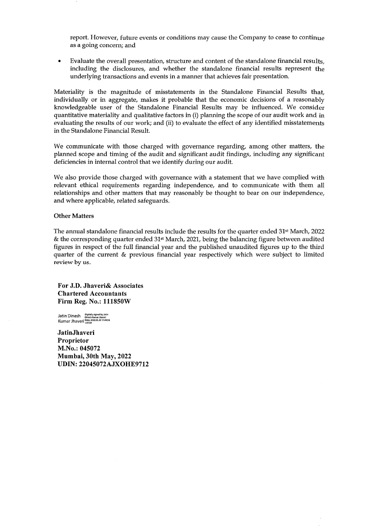report. However, future events or conditions may cause the Company to cease to continue as a going concern; and

a Evaluate the overall presentation, structure and content of the standalone financial results, including the disclosures, and whether the standalone financial results represent the underlying transactions and events in a manner that achieves fair presentation.

Materiality is the magnitude of misstatements in the Standalone Financial Results that, individually or in aggregate, makes it probable that the economic decisions of a reasonably knowledgeable user of the Standalone Financial Results may be influenced. We consider quantitative materiality and qualitative factors in (i) planning the scope of our audit work and in evaluating the results of our work; and (ii) to evaluate the effect of any identified misstatements in the Standalone Financial Result.

We communicate with those charged with governance regarding, among other matters, the planned scope and timing of the audit and significant audit findings, including any significant deficiencies in internal control that we identify during our audit.

We also provide those charged with governance with a statement that we have complied with relevant ethical requirements regarding independence, and to communicate with them all relationships and other matters that may reasonably be thought to bear on our independence, and where applicable, related safeguards.

#### Other Matters

The annual standalone financial results include the results for the quarter ended 31<sup>st</sup> March, 2022 & the corresponding quarter ended  $31<sup>st</sup>$  March, 2021, being the balancing figure between audited figures in respect of the full financial year and the published unaudited figures up to the third quarter of the current & previous financial year respectively which were subject to limited review by us.

For J.D. Jhaveri& Associates Chartered Accountants Firm Reg. No.: 111850W

Jatin Dinesh المسلم المسلم بالمسلم العام العام العام العام العام العام العام العام العام العام العام<br>Kumar Jhaveri #10530

JatinJhaveri Proprietor M.No.: 045072 Mumbai, 30th May, 2022 UDIN: 22045072AJXOHE9712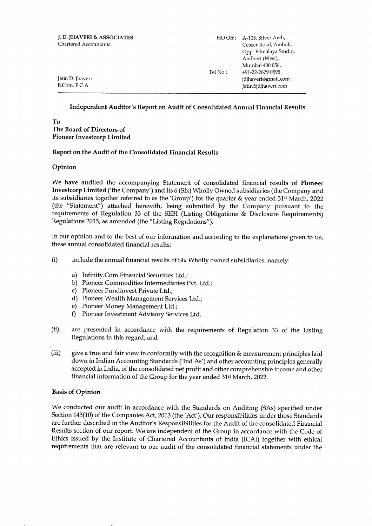| J.D. JHAVERI & ASSOCIATES<br>Chartered Accountants |         | HO Off: A-105, Silver Arch,<br>Ceaser Road, Amboli,<br>Opp. Filmalaya Studio,<br>Andheri (West),<br>Mumbai 400 058. |  |  |
|----------------------------------------------------|---------|---------------------------------------------------------------------------------------------------------------------|--|--|
| Jatin D. Jhaveri<br>B.Com. F.C.A                   | Tel No: | +91-22-2679 0595<br>jdjhaveri@gmail.com<br>Jatin@jdjhaveri.com                                                      |  |  |

### Independent Auditor's Report on Audit of Consolidated Annual Financial Results

To The Board of Directors of Pioneer Investcorp Limited

#### Report on the Audit of the Consolidated Financial Results

#### Opinion

We have audited the accompanying Statement of consolidated financial results of Pioneer Investcorp Limited ('the Company') and its 6 (Six) Wholly Owned subsidiaries (the Company and its subsidiaries together referred to as the 'Group') for the quarter & year ended 31<sup>st</sup> March, 2022 (the "Statement'') attached herewith, being submitted by the Company pursuant to the requirements of Regulation 33 of the SEBI (Listing Obligations & Disclosure Requirements) Regulations 2015, as amended (the "Listing Regulations").

In our opinion and to the best of our information and according to the explanations given to us, these annual consolidated financial results:

- (i) include the annual financial results of Six Wholly owned subsidiaries, namely:
	-
	-
	-
	- a) Infinity.Com Financial Securities Ltd.; b) Pioneer Commodities Intermediaries Pvt. Ltd.; c) Pioneer Fundinvest Private Ltd.; d) Pioneer Wealth Management Services Ltd.; e) Pioneer Money Management Ltd.;
	-
	- 0 Pioneer Investment Advisory Services Ltd.
- (ii) are presented in accordance with the requirements of Regulation 33 of the Listing Regulations in this regard; and
- (iii) give a true and fair view in conformity with the recognition & measurement principles laid down in Indian Accounting Standards ('Ind As') and other accounting principles generally accepted in India, of the consolidated net profit and other comprehensive income and other financial information of the Group for the year ended 31<sup>st</sup> March, 2022.

#### Basis of Opinion

We conducted our audit in accordance with the Standards on Auditing (SAs) specified under Section 143(10) of the Companies Act, 2013 (the'Acf). Our responsibilities under those Standards are further described in the Auditor's Responsibilities for the Audit of the consolidated Financial Results section of our report. We are independent of the Group in accordance with the Code of Ethics issued by the Institute of Chartered Accountants of India (ICAD together with ethical requirements that are relevant to our audit of the consolidated financial statements under the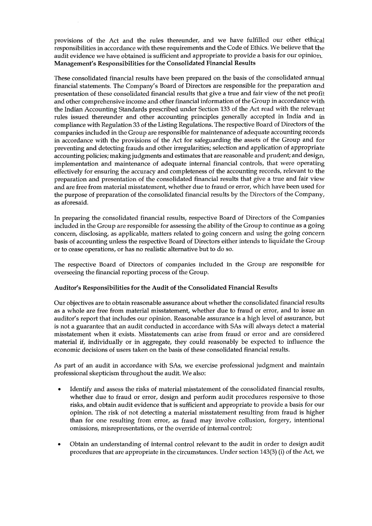provisions of the Act and the rules thereunder, and we have fulfilled our other ethical responsibilities in accordance with these requirements and the Code of Ethics. We believe that the audit evidence we have obtained is sufficient and appropriate to provide a basis for our opinion, Management's Responsibilities for the Consolidated Financial Results

These consolidated financial results have been prepared on the basis of the consolidated annual financial statements. The Company's Board of Directors are responsible for the preparation and presentation of these consolidated financial results that give a true and fair view of the net profit and other comprehensive income and other financial information of the Group in accordance with the Indian Accounting Standards prescribed under Section 133 of the Act read with the relevant rules issued thereunder and other accounting principles generally accepted in India and in compliance with Regulation 33 of the Listing Regulations. The respective Board of Directors of the companies included in the Group are responsible for maintenance of adequate accounting records in accordance with the provisions of the Act for safeguarding the assets of the Group and for preventing and detecting frauds and other irregularities; selection and application of appropriate accounting policies; making judgments and estimates that are reasonable and prudent; and design, implementation and maintenance of adequate internal financial controls, that were operating effectively for ensuring the accuracy and completeness of the accounting records, relevant to the preparation and presentation of the consolidated financial results that give a true and fair view and are free from material misstatement, whether due to fraud or error, which have been used for the purpose of preparation of the consolidated financial results by the Directors of the Company, as aforesaid.

In preparing the consolidated financial results, respective Board of Directors of the Companies included in the Group are responsible for assessing the ability of the Group to continue as a going concern, disclosing, as applicable, matters related to going concern and using the going concern basis of accounting unless the respective Board of Directors either intends to liquidate the Group or to cease operations, or has no realistic alternative but to do so.

The respective Board of Directors of companies included in the Group are responsible for overseeing the financial reporting process of the Group.

#### Auditor's Responsibilities for the Audit of the Consolidated Financial Results

Our objectives are to obtain reasonable assurance about whether the consolidated financial results as a whole are free from material misstatement, whether due to fraud or error, and to issue an auditor's report that includes our opinion. Reasonable assurance is a high level of assurance, but is not a guarantee that an audit conducted in accordance with SAs will always detect a material misstatement when it exists. Misstatements can arise from fraud or error and are considered material if, individually or in aggregate, they could reasonably be expected to influence the economic decisions of users taken on the basis of these consolidated financial results.

As part of an audit in accordance with SAs, we exercise professional judgment and maintain professional skepticism throughout the audit. We also:

- Identify and assess the risks of material misstatement of the consolidated financial results, whether due to fraud or error, design and perform audit procedures responsive to those risks, and obtain audit evidence that is sufficient and appropriate to provide a basis for our opinion. The risk of not detecting a material misstatement resulting from fraud is higher than for one resulting from error, as fraud may involve collusion, forgery, intentional omissions, misrepresentations, or the override of internal control; a
- Obtain an understanding of internal control relevant to the audit in order to design audit procedures that are appropriate in the circumstances. Under section 143(3) (i) of the Act, we a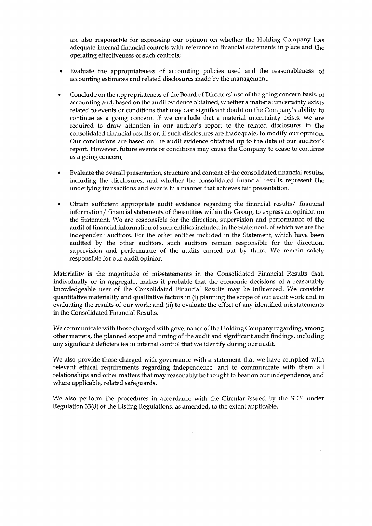are also responsible for expressing our opinion on whether the Holding Company has adequate internal financial controls with reference to financial statements in place and the operating effectiveness of such controls;

- a Evaluate the appropriateness of accounting policies used and the reasonableness of accounting estimates and related disclosures made by the management;
- Conclude on the appropriateness of the Board of Directors' use of the going concern basis of accounting and, based on the audit evidence obtained, whether a material uncertainty exists related to events or conditions that may cast significant doubt on the Company's ability to continue as <sup>a</sup>going concern. If we conclude that a material uncertainty exists, we are required to draw attention in our auditor's report to the related disclosures in the consolidated financial results or, if such disclosures are inadequate, to modify our opinion. Our conclusions are based on the audit evidence obtained up to the date of our auditor's report. However, future events or conditions may cause the Company to cease to continue as a going concern; a
- <sup>a</sup> Evaluate the overall presentation, structure and content of the consolidated financial results, including the disclosures, and whether the consolidated financial results represent the underlying transactions and events in a manner that achieves fair presentation.
- Obtain sufficient appropriate audit evidence regarding the financial results/ financial information/ financial statements of the entities within the Group, to express an opinion on the Statement. We are responsible for the direction, supervision and performance of the audit of financial information of such entities included in the Statement, of which we are the independent auditors. For the other entities included in the Statement, which have been audited by the other auditors, such auditors remain responsible for the direction, supervision and performance of the audits carried out by them. We remain solely responsible for our audit opinion a

Materiality is the magnitude of misstatements in the Consolidated Financial Results that individually or in aggregate, makes it probable that the economic decisions of a reasonably knowledgeable user of the Consolidated Financial Results may be influenced. We consider quantitative materiality and qualitative factors in (i) planning the scope of our audit work and in evaluating the results of our work; and (ii) to evaluate the effect of any identified misstatements in the Consolidated Financial Results.

We communicate with those charged with governance of the Holding Company regarding, among other matters, the planned scope and timing of the audit and significant audit findings, including any significant deficiencies in internal control that we identify during our audit.

We also provide those charged with governance with a statement that we have complied with relevant ethical requirements regarding independence, and to communicate with them all relationships and other matters that may reasonably be thought to bear on our independence, and where applicable, related safeguards.

We also perform the procedures in accordance with the Circular issued by the SEBI under Regulation 33(8) of the Listing Regulations, as amended, to the extent applicable.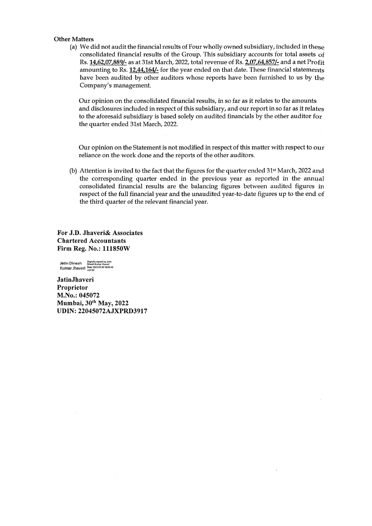#### Other Matters

(a) We did not audit the financial results of Four wholly owned subsidiary, included in these consolidated financial results of the Group. This subsidiary accounts for total assets of Rs. 14,62,07,889/- as at 31st March, 2022, total revenue of Rs. 2,07,64,857/- and a net Profit amounting to Rs. 12,44,164/- for the year ended on that date. These financial statements have been audited by other auditors whose reports have been furnished to us by the Company's management.

Our opinion on the consolidated financial results, in so far as it relates to the amounts and disclosures included in respect of this subsidiary, and our report in so far as it relates to the aforesaid subsidiary is based solely on audited financials by the other auditor for the quarter ended 31st March, 2022.

Our opinion on the Statement is not modified in respect of this matter with respect to our reliance on the work done and the reports of the other auditors.

(b) Attention is invited to the fact that the figures for the quarter ended 31<sup>st</sup> March, 2022 and the corresponding quarter ended in the previous year as reported in the annual consolidated financial results are the balancing figures between audited figures in respect of the full financial year and the unaudited year-to-date figures up to the end of the third quarter of the relevant financial year.

For J.D. Jhaveri& Associates Chartered Accountants Firm Reg. No.: 111850W

Jatin Dinesh 3: binesh Kumar Jhaver<br>Kumar Jhaveri 30te: 2022.05.30 18:02:40

JatinJhaveri Proprietor M.No.: 045072 Mumbai, 30<sup>th</sup> May, 2022 UDIN: 22045072AJXPRD3917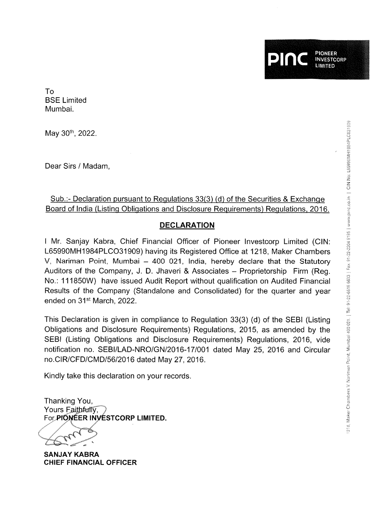PIONEER **INVESTCORP IMITED** Ptnc

To BSE Limited Mumbai.

May 30th, 2022.

Dear Sirs / Madam,

## Sub.:- Declaration pursuant to Regulations 33(3) (d) of the Securities & Exchange Board of India (Listing Obligations and Disclosure Requirements) Regulations, 2016.

## DECLARATION

I Mr. Sanjay Kabra, Chief Financial Officer of Pioneer lnvestcorp Limited (ClN: L65990MH1984PLCO31909) having its Registered Office at 1218, Maker Chambers V, Nariman Point, Mumbai  $-$  400 021, India, hereby declare that the Statutory Auditors of the Company, J. D. Jhaveri & Associates - Proprietorship Firm (Reg. No.: 111850W) have issued Audit Report without qualification on Audited Financial Results of the Company (Standalone and Consolidated) for the quarter and year ended on 31<sup>st</sup> March, 2022.

This Declaration is given in compliance to Regulation 33(3) (d) of the SEBI (Listing Obligations and Disclosure Requirements) Regulations, 2015, as amended by the SEBI (Listing Obligations and Disclosure Requirements) Regulations, 2016, vide notification no. SEBI/LAD-NRO/GN/2016-171001 dated May 25, 2016 and Circular no.ClR/CFD/CMD/56/2016 dated May 27, 2016.

Kindly take this declaration on your records

Thanking You, Yours Faithfully. For PIONEER INVESTCORP LIMITED.

SANJAY KABRA CHIEF FINANCIAL OFFICER

ooo